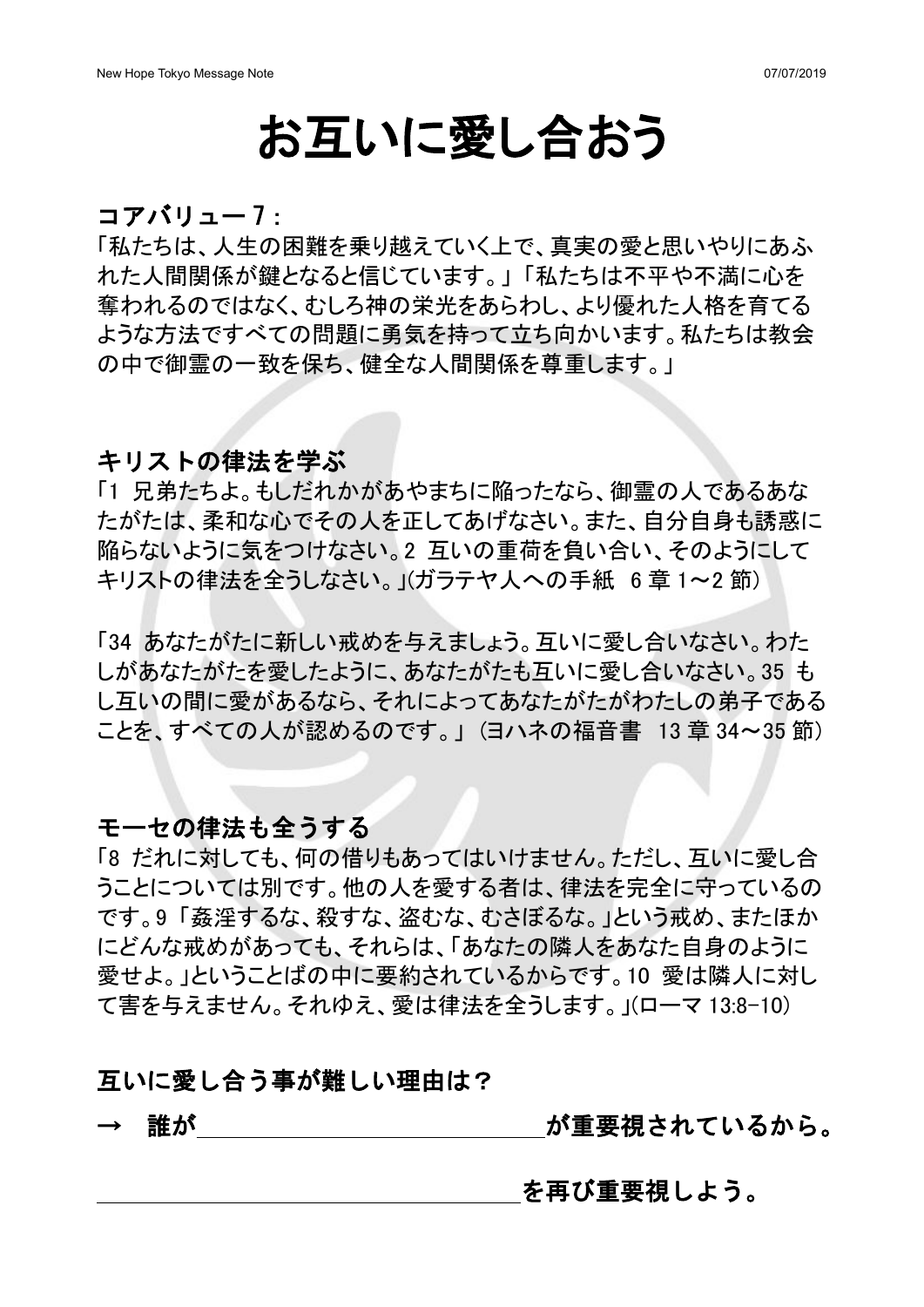# お互いに愛し合おう

### コアバリュー7:

「私たちは、人生の困難を乗り越えていく上で、真実の愛と思いやりにあふ れた人間関係が鍵となると信じています。」「私たちは不平や不満に心を 奪われるのではなく、むしろ神の栄光をあらわし、より優れた人格を育てる ような方法ですべての問題に勇気を持って立ち向かいます。私たちは教会 の中で御霊の一致を保ち、健全な人間関係を尊重します。」

#### キリストの律法を学ぶ

「1 兄弟たちよ。もしだれかがあやまちに陥ったなら、御霊の人であるあな たがたは、柔和な心でその人を正してあげなさい。また、自分自身も誘惑に 陥らないように気をつけなさい。2 互いの重荷を負い合い、そのようにして キリストの律法を全うしなさい。」(ガラテヤ人への手紙 6章1~2節)

「34 あなたがたに新しい戒めを与えましょう。互いに愛し合いなさい。わた しがあなたがたを愛したように、あなたがたも互いに愛し合いなさい。35 も し互いの間に愛があるなら、それによってあなたがたがわたしの弟子である ことを、すべての人が認めるのです。」(ヨハネの福音書 13章 34~35節)

### モーセの律法も全うする

「8 だれに対しても、何の借りもあってはいけません。ただし、互いに愛し合 うことについては別です。他の人を愛する者は、律法を完全に守っているの です。9「姦淫するな、殺すな、盗むな、むさぼるな。」という戒め、またほか にどんな戒めがあっても、それらは、「あなたの隣人をあなた自身のように 愛せよ。」ということばの中に要約されているからです。10 愛は隣人に対し て害を与えません。それゆえ、愛は律法を全うします。 (ローマ 13:8-10)

### 互いに愛し合う事が難しい理由は?

→ 誰が オオナナ かっているから。 おんない かいしょう が重要視されているから。

を再び重要視しよう。